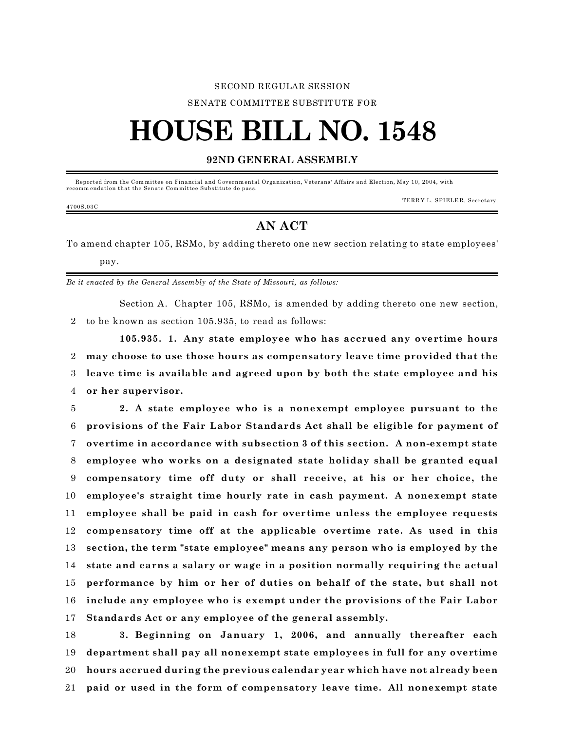#### SECOND REGULAR SESSION

#### SENATE COMMITTEE SUBSTITUTE FOR

# **HOUSE BILL NO. 1548**

### **92ND GENERAL ASSEMBLY**

 Reported from the Com mittee on Financial and Governm ental Organization, Veterans' Affairs and Election, May 10, 2004, with recomm endation that the Senate Com mittee Substitute do pass.

#### TERRY L. SPIELER, Secretary.

## **AN ACT**

To amend chapter 105, RSMo, by adding thereto one new section relating to state employees' pay.

*Be it enacted by the General Assembly of the State of Missouri, as follows:*

Section A. Chapter 105, RSMo, is amended by adding thereto one new section, 2 to be known as section 105.935, to read as follows:

**105.935. 1. Any state employee who has accrued any overtime hours may choose to use those hours as compensatory leave time provided that the leave time is available and agreed upon by both the state employee and his or her supervisor.**

 **2. A state employee who is a nonexempt employee pursuant to the provisions of the Fair Labor Standards Act shall be eligible for payment of overtime in accordance with subsection 3 of this section. A non-exempt state employee who works on a designated state holiday shall be granted equal compensatory time off duty or shall receive, at his or her choice, the employee's straight time hourly rate in cash payment. A nonexempt state employee shall be paid in cash for overtime unless the employee requests compensatory time off at the applicable overtime rate. As used in this section, the term "state employee" means any person who is employed by the state and earns a salary or wage in a position normally requiring the actual performance by him or her of duties on behalf of the state, but shall not include any employee who is exempt under the provisions of the Fair Labor Standards Act or any employee of the general assembly.**

 **3. Beginning on January 1, 2006, and annually thereafter each department shall pay all nonexempt state employees in full for any overtime hours accrued during the previous calendar year which have not already been paid or used in the form of compensatory leave time. All nonexempt state**

#### 4700S.03C